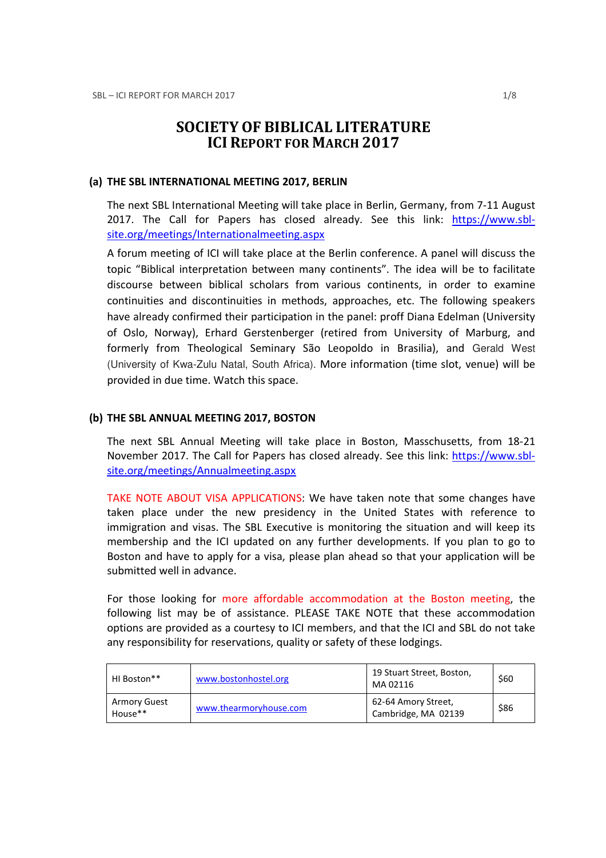# SOCIETY OF BIBLICAL LITERATURE ICI REPORT FOR MARCH 2017

#### (a) THE SBL INTERNATIONAL MEETING 2017, BERLIN

The next SBL International Meeting will take place in Berlin, Germany, from 7-11 August 2017. The Call for Papers has closed already. See this link: https://www.sblsite.org/meetings/Internationalmeeting.aspx

A forum meeting of ICI will take place at the Berlin conference. A panel will discuss the topic "Biblical interpretation between many continents". The idea will be to facilitate discourse between biblical scholars from various continents, in order to examine continuities and discontinuities in methods, approaches, etc. The following speakers have already confirmed their participation in the panel: proff Diana Edelman (University of Oslo, Norway), Erhard Gerstenberger (retired from University of Marburg, and formerly from Theological Seminary São Leopoldo in Brasilia), and Gerald West (University of Kwa-Zulu Natal, South Africa). More information (time slot, venue) will be provided in due time. Watch this space.

#### (b) THE SBL ANNUAL MEETING 2017, BOSTON

The next SBL Annual Meeting will take place in Boston, Masschusetts, from 18-21 November 2017. The Call for Papers has closed already. See this link: https://www.sblsite.org/meetings/Annualmeeting.aspx

TAKE NOTE ABOUT VISA APPLICATIONS: We have taken note that some changes have taken place under the new presidency in the United States with reference to immigration and visas. The SBL Executive is monitoring the situation and will keep its membership and the ICI updated on any further developments. If you plan to go to Boston and have to apply for a visa, please plan ahead so that your application will be submitted well in advance.

For those looking for more affordable accommodation at the Boston meeting, the following list may be of assistance. PLEASE TAKE NOTE that these accommodation options are provided as a courtesy to ICI members, and that the ICI and SBL do not take any responsibility for reservations, quality or safety of these lodgings.

| HI Boston**             | www.bostonhostel.org   | 19 Stuart Street, Boston,<br>MA 02116      | \$60 |
|-------------------------|------------------------|--------------------------------------------|------|
| Armory Guest<br>House** | www.thearmoryhouse.com | 62-64 Amory Street,<br>Cambridge, MA 02139 | \$86 |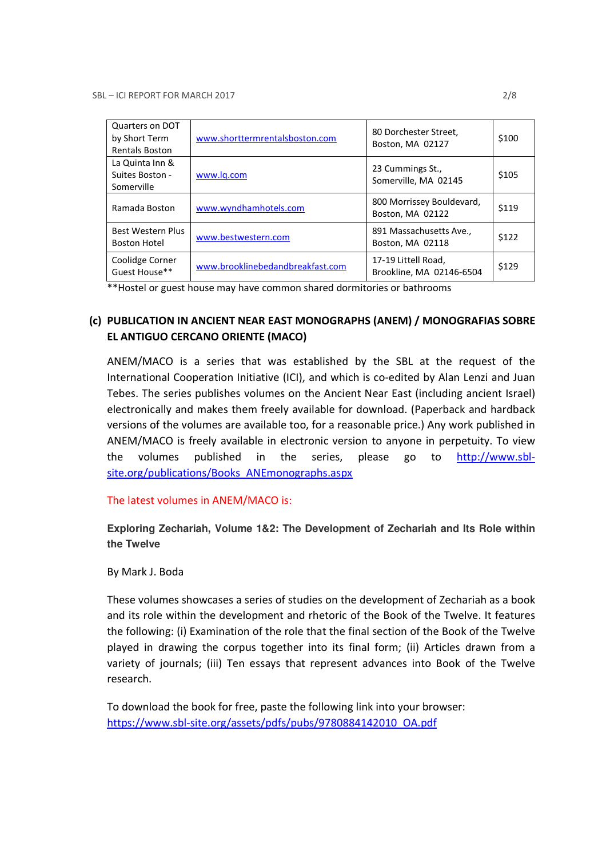| Quarters on DOT<br>by Short Term<br><b>Rentals Boston</b> | www.shorttermrentalsboston.com   | 80 Dorchester Street,<br>Boston, MA 02127       | \$100 |
|-----------------------------------------------------------|----------------------------------|-------------------------------------------------|-------|
| La Quinta Inn &<br>Suites Boston -<br>Somerville          | www.lg.com                       | 23 Cummings St.,<br>Somerville, MA 02145        | \$105 |
| Ramada Boston                                             | www.wyndhamhotels.com            | 800 Morrissey Bouldevard,<br>Boston, MA 02122   | \$119 |
| Best Western Plus<br><b>Boston Hotel</b>                  | www.bestwestern.com              | 891 Massachusetts Ave.,<br>Boston, MA 02118     | \$122 |
| Coolidge Corner<br>Guest House**                          | www.brooklinebedandbreakfast.com | 17-19 Littell Road,<br>Brookline, MA 02146-6504 | \$129 |

\*\*Hostel or guest house may have common shared dormitories or bathrooms

## (c) PUBLICATION IN ANCIENT NEAR EAST MONOGRAPHS (ANEM) / MONOGRAFIAS SOBRE EL ANTIGUO CERCANO ORIENTE (MACO)

ANEM/MACO is a series that was established by the SBL at the request of the International Cooperation Initiative (ICI), and which is co-edited by Alan Lenzi and Juan Tebes. The series publishes volumes on the Ancient Near East (including ancient Israel) electronically and makes them freely available for download. (Paperback and hardback versions of the volumes are available too, for a reasonable price.) Any work published in ANEM/MACO is freely available in electronic version to anyone in perpetuity. To view the volumes published in the series, please go to http://www.sblsite.org/publications/Books\_ANEmonographs.aspx

The latest volumes in ANEM/MACO is:

**Exploring Zechariah, Volume 1&2: The Development of Zechariah and Its Role within the Twelve** 

By Mark J. Boda

These volumes showcases a series of studies on the development of Zechariah as a book and its role within the development and rhetoric of the Book of the Twelve. It features the following: (i) Examination of the role that the final section of the Book of the Twelve played in drawing the corpus together into its final form; (ii) Articles drawn from a variety of journals; (iii) Ten essays that represent advances into Book of the Twelve research.

To download the book for free, paste the following link into your browser: https://www.sbl-site.org/assets/pdfs/pubs/9780884142010\_OA.pdf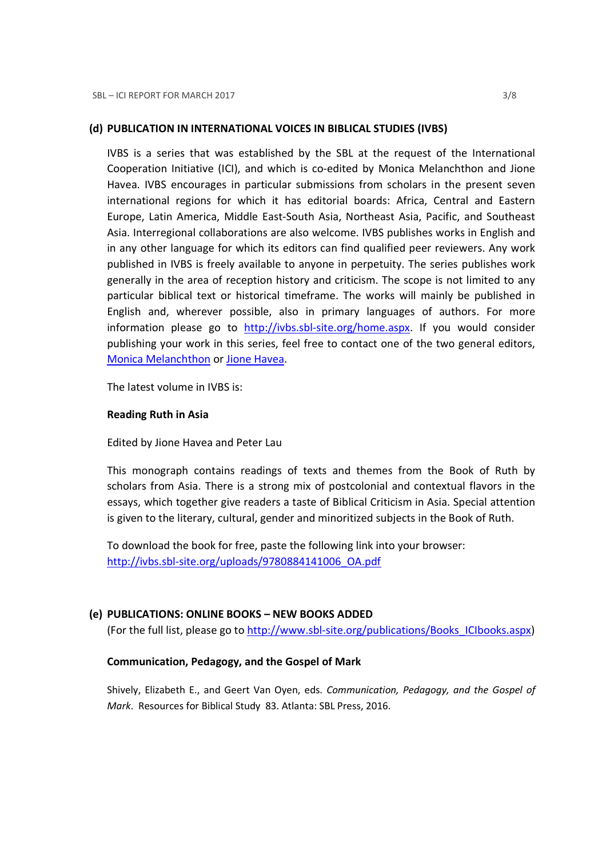#### (d) PUBLICATION IN INTERNATIONAL VOICES IN BIBLICAL STUDIES (IVBS)

IVBS is a series that was established by the SBL at the request of the International Cooperation Initiative (ICI), and which is co-edited by Monica Melanchthon and Jione Havea. IVBS encourages in particular submissions from scholars in the present seven international regions for which it has editorial boards: Africa, Central and Eastern Europe, Latin America, Middle East-South Asia, Northeast Asia, Pacific, and Southeast Asia. Interregional collaborations are also welcome. IVBS publishes works in English and in any other language for which its editors can find qualified peer reviewers. Any work published in IVBS is freely available to anyone in perpetuity. The series publishes work generally in the area of reception history and criticism. The scope is not limited to any particular biblical text or historical timeframe. The works will mainly be published in English and, wherever possible, also in primary languages of authors. For more information please go to http://ivbs.sbl-site.org/home.aspx. If you would consider publishing your work in this series, feel free to contact one of the two general editors, Monica Melanchthon or Jione Havea.

The latest volume in IVBS is:

#### Reading Ruth in Asia

Edited by Jione Havea and Peter Lau

This monograph contains readings of texts and themes from the Book of Ruth by scholars from Asia. There is a strong mix of postcolonial and contextual flavors in the essays, which together give readers a taste of Biblical Criticism in Asia. Special attention is given to the literary, cultural, gender and minoritized subjects in the Book of Ruth.

To download the book for free, paste the following link into your browser: http://ivbs.sbl-site.org/uploads/9780884141006\_OA.pdf

#### (e) PUBLICATIONS: ONLINE BOOKS – NEW BOOKS ADDED

(For the full list, please go to http://www.sbl-site.org/publications/Books\_ICIbooks.aspx)

#### Communication, Pedagogy, and the Gospel of Mark

Shively, Elizabeth E., and Geert Van Oyen, eds. Communication, Pedagogy, and the Gospel of Mark. Resources for Biblical Study 83. Atlanta: SBL Press, 2016.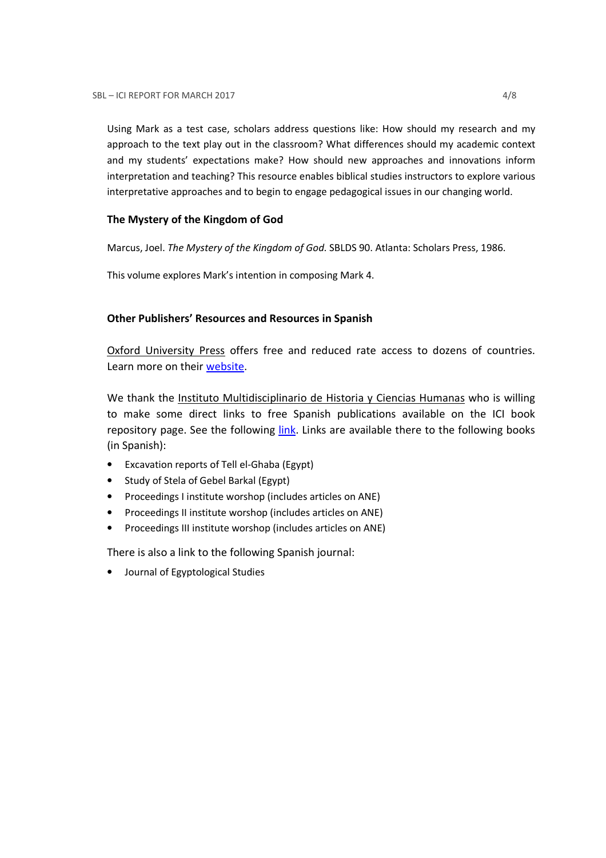Using Mark as a test case, scholars address questions like: How should my research and my approach to the text play out in the classroom? What differences should my academic context and my students' expectations make? How should new approaches and innovations inform interpretation and teaching? This resource enables biblical studies instructors to explore various interpretative approaches and to begin to engage pedagogical issues in our changing world.

### The Mystery of the Kingdom of God

Marcus, Joel. The Mystery of the Kingdom of God. SBLDS 90. Atlanta: Scholars Press, 1986.

This volume explores Mark's intention in composing Mark 4.

## Other Publishers' Resources and Resources in Spanish

Oxford University Press offers free and reduced rate access to dozens of countries. Learn more on their website.

We thank the Instituto Multidisciplinario de Historia y Ciencias Humanas who is willing to make some direct links to free Spanish publications available on the ICI book repository page. See the following link. Links are available there to the following books (in Spanish):

- Excavation reports of Tell el-Ghaba (Egypt)
- Study of Stela of Gebel Barkal (Egypt)
- Proceedings I institute worshop (includes articles on ANE)
- Proceedings II institute worshop (includes articles on ANE)
- Proceedings III institute worshop (includes articles on ANE)

There is also a link to the following Spanish journal:

• Journal of Egyptological Studies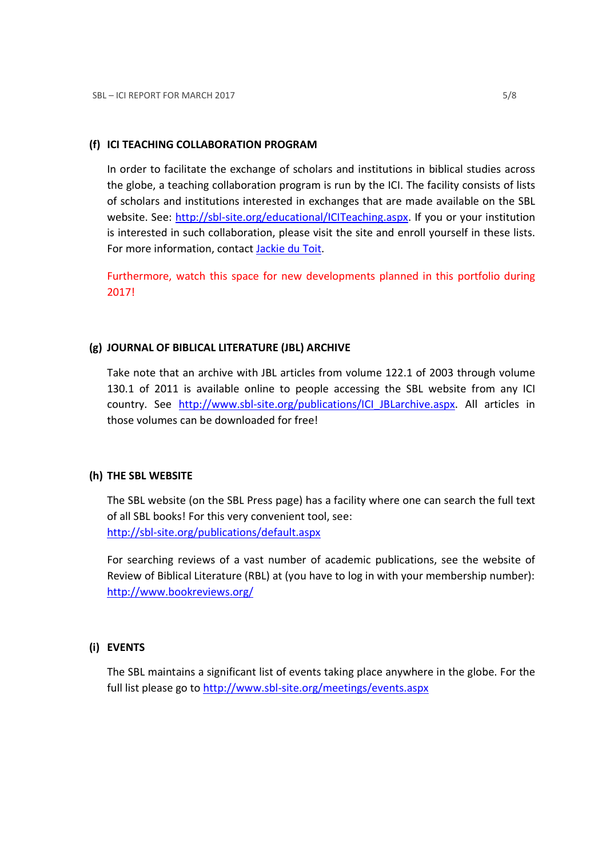#### (f) ICI TEACHING COLLABORATION PROGRAM

In order to facilitate the exchange of scholars and institutions in biblical studies across the globe, a teaching collaboration program is run by the ICI. The facility consists of lists of scholars and institutions interested in exchanges that are made available on the SBL website. See: http://sbl-site.org/educational/ICITeaching.aspx. If you or your institution is interested in such collaboration, please visit the site and enroll yourself in these lists. For more information, contact **Jackie du Toit**.

Furthermore, watch this space for new developments planned in this portfolio during 2017!

#### (g) JOURNAL OF BIBLICAL LITERATURE (JBL) ARCHIVE

Take note that an archive with JBL articles from volume 122.1 of 2003 through volume 130.1 of 2011 is available online to people accessing the SBL website from any ICI country. See http://www.sbl-site.org/publications/ICI\_JBLarchive.aspx. All articles in those volumes can be downloaded for free!

#### (h) THE SBL WEBSITE

The SBL website (on the SBL Press page) has a facility where one can search the full text of all SBL books! For this very convenient tool, see: http://sbl-site.org/publications/default.aspx

For searching reviews of a vast number of academic publications, see the website of Review of Biblical Literature (RBL) at (you have to log in with your membership number): http://www.bookreviews.org/

#### (i) EVENTS

The SBL maintains a significant list of events taking place anywhere in the globe. For the full list please go to http://www.sbl-site.org/meetings/events.aspx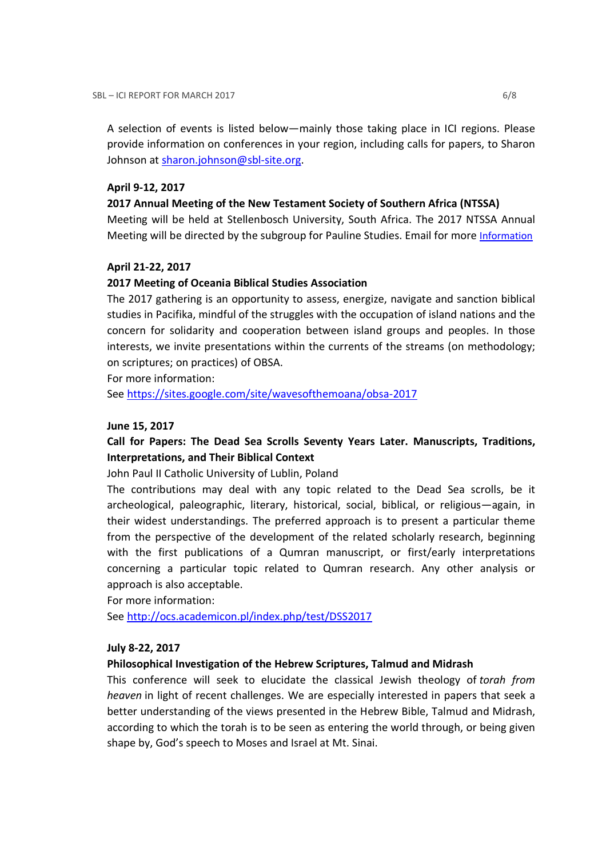A selection of events is listed below—mainly those taking place in ICI regions. Please provide information on conferences in your region, including calls for papers, to Sharon Johnson at sharon.johnson@sbl-site.org.

#### April 9-12, 2017

#### 2017 Annual Meeting of the New Testament Society of Southern Africa (NTSSA)

Meeting will be held at Stellenbosch University, South Africa. The 2017 NTSSA Annual Meeting will be directed by the subgroup for Pauline Studies. Email for more Information

#### April 21-22, 2017

#### 2017 Meeting of Oceania Biblical Studies Association

The 2017 gathering is an opportunity to assess, energize, navigate and sanction biblical studies in Pacifika, mindful of the struggles with the occupation of island nations and the concern for solidarity and cooperation between island groups and peoples. In those interests, we invite presentations within the currents of the streams (on methodology; on scriptures; on practices) of OBSA.

For more information:

See https://sites.google.com/site/wavesofthemoana/obsa-2017

#### June 15, 2017

## Call for Papers: The Dead Sea Scrolls Seventy Years Later. Manuscripts, Traditions, Interpretations, and Their Biblical Context

John Paul II Catholic University of Lublin, Poland

The contributions may deal with any topic related to the Dead Sea scrolls, be it archeological, paleographic, literary, historical, social, biblical, or religious—again, in their widest understandings. The preferred approach is to present a particular theme from the perspective of the development of the related scholarly research, beginning with the first publications of a Qumran manuscript, or first/early interpretations concerning a particular topic related to Qumran research. Any other analysis or approach is also acceptable.

For more information:

See http://ocs.academicon.pl/index.php/test/DSS2017

#### July 8-22, 2017

#### Philosophical Investigation of the Hebrew Scriptures, Talmud and Midrash

This conference will seek to elucidate the classical Jewish theology of torah from heaven in light of recent challenges. We are especially interested in papers that seek a better understanding of the views presented in the Hebrew Bible, Talmud and Midrash, according to which the torah is to be seen as entering the world through, or being given shape by, God's speech to Moses and Israel at Mt. Sinai.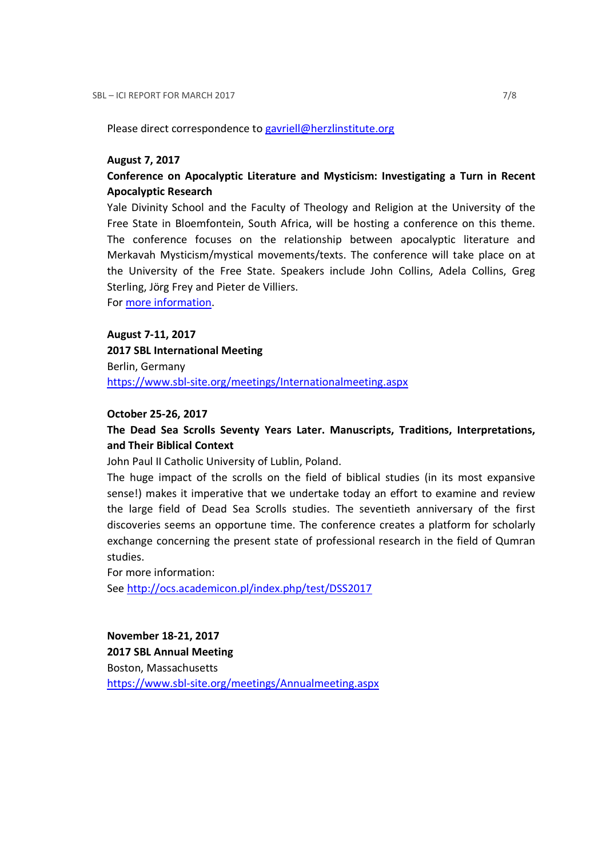Please direct correspondence to gavriell@herzlinstitute.org

#### August 7, 2017

## Conference on Apocalyptic Literature and Mysticism: Investigating a Turn in Recent Apocalyptic Research

Yale Divinity School and the Faculty of Theology and Religion at the University of the Free State in Bloemfontein, South Africa, will be hosting a conference on this theme. The conference focuses on the relationship between apocalyptic literature and Merkavah Mysticism/mystical movements/texts. The conference will take place on at the University of the Free State. Speakers include John Collins, Adela Collins, Greg Sterling, Jörg Frey and Pieter de Villiers.

For more information.

#### August 7-11, 2017

2017 SBL International Meeting Berlin, Germany https://www.sbl-site.org/meetings/Internationalmeeting.aspx

#### October 25-26, 2017

## The Dead Sea Scrolls Seventy Years Later. Manuscripts, Traditions, Interpretations, and Their Biblical Context

John Paul II Catholic University of Lublin, Poland.

The huge impact of the scrolls on the field of biblical studies (in its most expansive sense!) makes it imperative that we undertake today an effort to examine and review the large field of Dead Sea Scrolls studies. The seventieth anniversary of the first discoveries seems an opportune time. The conference creates a platform for scholarly exchange concerning the present state of professional research in the field of Qumran studies.

For more information:

See http://ocs.academicon.pl/index.php/test/DSS2017

November 18-21, 2017 2017 SBL Annual Meeting

Boston, Massachusetts

https://www.sbl-site.org/meetings/Annualmeeting.aspx